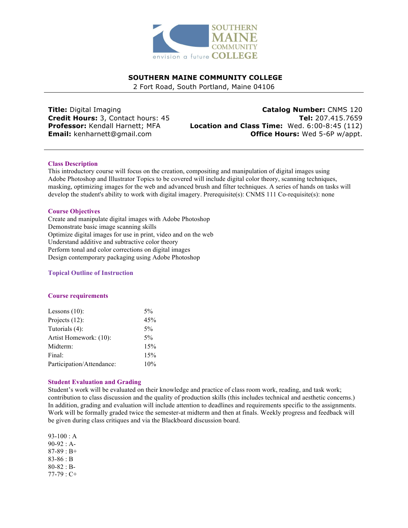

# **SOUTHERN MAINE COMMUNITY COLLEGE**

2 Fort Road, South Portland, Maine 04106

**Title:** Digital Imaging **Credit Hours:** 3, Contact hours: 45 **Professor:** Kendall Harnett; MFA **Email:** kenharnett@gmail.com

**Catalog Number:** CNMS 120 **Tel:** 207.415.7659 **Location and Class Time:** Wed. 6:00-8:45 (112) **Office Hours:** Wed 5-6P w/appt.

### **Class Description**

This introductory course will focus on the creation, compositing and manipulation of digital images using Adobe Photoshop and Illustrator Topics to be covered will include digital color theory, scanning techniques, masking, optimizing images for the web and advanced brush and filter techniques. A series of hands on tasks will develop the student's ability to work with digital imagery. Prerequisite(s): CNMS 111 Co-requisite(s): none

### **Course Objectives**

Create and manipulate digital images with Adobe Photoshop Demonstrate basic image scanning skills Optimize digital images for use in print, video and on the web Understand additive and subtractive color theory Perform tonal and color corrections on digital images Design contemporary packaging using Adobe Photoshop

## **Topical Outline of Instruction**

### **Course requirements**

| 5%  |
|-----|
| 45% |
| 5%  |
| 5%  |
| 15% |
| 15% |
| 10% |
|     |

### **Student Evaluation and Grading**

Student's work will be evaluated on their knowledge and practice of class room work, reading, and task work; contribution to class discussion and the quality of production skills (this includes technical and aesthetic concerns.) In addition, grading and evaluation will include attention to deadlines and requirements specific to the assignments. Work will be formally graded twice the semester-at midterm and then at finals. Weekly progress and feedback will be given during class critiques and via the Blackboard discussion board.

93-100 : A 90-92 : A-87-89 : B+ 83-86 : B 80-82 : B-77-79 : C+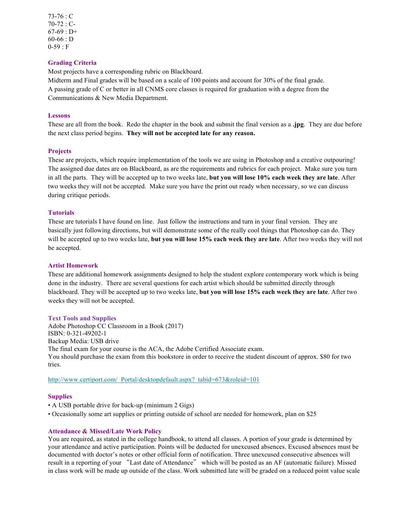73-76 : C 70-72 : C- $67-69 : D+$ 60-66 : D  $0-59 : F$ 

## **Grading Criteria**

Most projects have a corresponding rubric on Blackboard.

Midterm and Final grades will be based on a scale of 100 points and account for 30% of the final grade. A passing grade of C or better in all CNMS core classes is required for graduation with a degree from the Communications & New Media Department.

#### **Lessons**

These are all from the book. Redo the chapter in the book and submit the final version as a **.jpg**. They are due before the next class period begins. **They will not be accepted late for any reason.**

### **Projects**

These are projects, which require implementation of the tools we are using in Photoshop and a creative outpouring! The assigned due dates are on Blackboard, as are the requirements and rubrics for each project. Make sure you turn in all the parts. They will be accepted up to two weeks late, **but you will lose 10% each week they are late**. After two weeks they will not be accepted. Make sure you have the print out ready when necessary, so we can discuss during critique periods.

#### **Tutorials**

These are tutorials I have found on line. Just follow the instructions and turn in your final version. They are basically just following directions, but will demonstrate some of the really cool things that Photoshop can do. They will be accepted up to two weeks late, **but you will lose 15% each week they are late**. After two weeks they will not be accepted.

#### **Artist Homework**

These are additional homework assignments designed to help the student explore contemporary work which is being done in the industry. There are several questions for each artist which should be submitted directly through blackboard. They will be accepted up to two weeks late, **but you will lose 15% each week they are late**. After two weeks they will not be accepted.

#### **Text Tools and Supplies**

Adobe Photoshop CC Classroom in a Book (2017) ISBN: 0-321-49202-1 Backup Media: USB drive The final exam for your course is the ACA, the Adobe Certified Associate exam. You should purchase the exam from this bookstore in order to receive the student discount of approx. \$80 for two tries.

http://www.certiport.com/ Portal/desktopdefault.aspx? tabid=673&roleid=101

#### **Supplies**

- A USB portable drive for back-up (minimum 2 Gigs)
- Occasionally some art supplies or printing outside of school are needed for homework, plan on \$25

#### **Attendance & Missed/Late Work Policy**

You are required, as stated in the college handbook, to attend all classes. A portion of your grade is determined by your attendance and active participation. Points will be deducted for unexcused absences. Excused absences must be documented with doctor's notes or other official form of notification. Three unexcused consecutive absences will result in a reporting of your "Last date of Attendance" which will be posted as an AF (automatic failure). Missed in class work will be made up outside of the class. Work submitted late will be graded on a reduced point value scale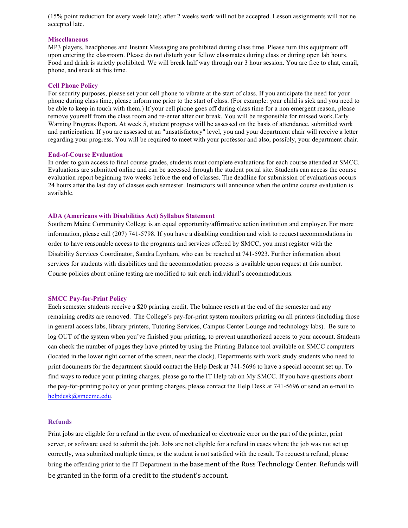(15% point reduction for every week late); after 2 weeks work will not be accepted. Lesson assignments will not ne accepted late.

#### **Miscellaneous**

MP3 players, headphones and Instant Messaging are prohibited during class time. Please turn this equipment off upon entering the classroom. Please do not disturb your fellow classmates during class or during open lab hours. Food and drink is strictly prohibited. We will break half way through our 3 hour session. You are free to chat, email, phone, and snack at this time.

#### **Cell Phone Policy**

For security purposes, please set your cell phone to vibrate at the start of class. If you anticipate the need for your phone during class time, please inform me prior to the start of class. (For example: your child is sick and you need to be able to keep in touch with them.) If your cell phone goes off during class time for a non emergent reason, please remove yourself from the class room and re-enter after our break. You will be responsible for missed work.Early Warning Progress Report. At week 5, student progress will be assessed on the basis of attendance, submitted work and participation. If you are assessed at an "unsatisfactory" level, you and your department chair will receive a letter regarding your progress. You will be required to meet with your professor and also, possibly, your department chair.

#### **End-of-Course Evaluation**

In order to gain access to final course grades, students must complete evaluations for each course attended at SMCC. Evaluations are submitted online and can be accessed through the student portal site. Students can access the course evaluation report beginning two weeks before the end of classes. The deadline for submission of evaluations occurs 24 hours after the last day of classes each semester. Instructors will announce when the online course evaluation is available.

### **ADA (Americans with Disabilities Act) Syllabus Statement**

Southern Maine Community College is an equal opportunity/affirmative action institution and employer. For more information, please call (207) 741-5798. If you have a disabling condition and wish to request accommodations in order to have reasonable access to the programs and services offered by SMCC, you must register with the Disability Services Coordinator, Sandra Lynham, who can be reached at 741-5923. Further information about services for students with disabilities and the accommodation process is available upon request at this number. Course policies about online testing are modified to suit each individual's accommodations.

#### **SMCC Pay-for-Print Policy**

Each semester students receive a \$20 printing credit. The balance resets at the end of the semester and any remaining credits are removed. The College's pay-for-print system monitors printing on all printers (including those in general access labs, library printers, Tutoring Services, Campus Center Lounge and technology labs). Be sure to log OUT of the system when you've finished your printing, to prevent unauthorized access to your account. Students can check the number of pages they have printed by using the Printing Balance tool available on SMCC computers (located in the lower right corner of the screen, near the clock). Departments with work study students who need to print documents for the department should contact the Help Desk at 741-5696 to have a special account set up. To find ways to reduce your printing charges, please go to the IT Help tab on My SMCC. If you have questions about the pay-for-printing policy or your printing charges, please contact the Help Desk at 741-5696 or send an e-mail to helpdesk@smccme.edu.

#### **Refunds**

Print jobs are eligible for a refund in the event of mechanical or electronic error on the part of the printer, print server, or software used to submit the job. Jobs are not eligible for a refund in cases where the job was not set up correctly, was submitted multiple times, or the student is not satisfied with the result. To request a refund, please bring the offending print to the IT Department in the basement of the Ross Technology Center. Refunds will be granted in the form of a credit to the student's account.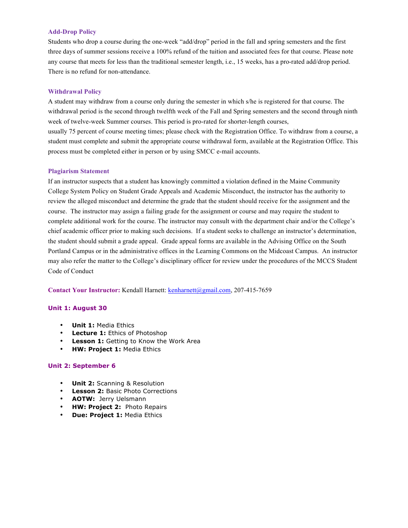### **Add-Drop Policy**

Students who drop a course during the one-week "add/drop" period in the fall and spring semesters and the first three days of summer sessions receive a 100% refund of the tuition and associated fees for that course. Please note any course that meets for less than the traditional semester length, i.e., 15 weeks, has a pro-rated add/drop period. There is no refund for non-attendance.

### **Withdrawal Policy**

A student may withdraw from a course only during the semester in which s/he is registered for that course. The withdrawal period is the second through twelfth week of the Fall and Spring semesters and the second through ninth week of twelve-week Summer courses. This period is pro-rated for shorter-length courses,

usually 75 percent of course meeting times; please check with the Registration Office. To withdraw from a course, a student must complete and submit the appropriate course withdrawal form, available at the Registration Office. This process must be completed either in person or by using SMCC e-mail accounts.

### **Plagiarism Statement**

If an instructor suspects that a student has knowingly committed a violation defined in the Maine Community College System Policy on Student Grade Appeals and Academic Misconduct, the instructor has the authority to review the alleged misconduct and determine the grade that the student should receive for the assignment and the course. The instructor may assign a failing grade for the assignment or course and may require the student to complete additional work for the course. The instructor may consult with the department chair and/or the College's chief academic officer prior to making such decisions. If a student seeks to challenge an instructor's determination, the student should submit a grade appeal. Grade appeal forms are available in the Advising Office on the South Portland Campus or in the administrative offices in the Learning Commons on the Midcoast Campus. An instructor may also refer the matter to the College's disciplinary officer for review under the procedures of the MCCS Student Code of Conduct

**Contact Your Instructor:** Kendall Harnett: kenharnett@gmail.com, 207-415-7659

### **Unit 1: August 30**

- **Unit 1:** Media Ethics
- **Lecture 1:** Ethics of Photoshop
- **Lesson 1:** Getting to Know the Work Area
- **HW: Project 1:** Media Ethics

#### **Unit 2: September 6**

- **Unit 2:** Scanning & Resolution
- **Lesson 2:** Basic Photo Corrections
- **AOTW:** Jerry Uelsmann
- **HW: Project 2:** Photo Repairs
- **Due: Project 1:** Media Ethics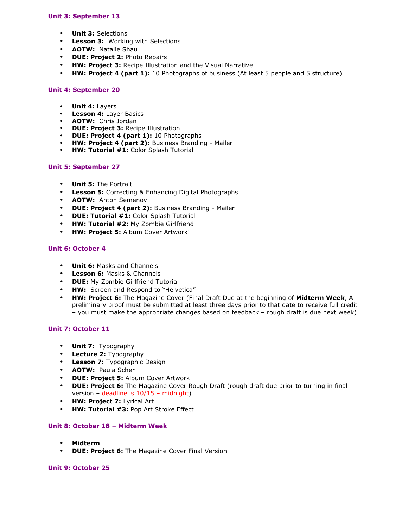## **Unit 3: September 13**

- **Unit 3:** Selections
- **Lesson 3:** Working with Selections
- **AOTW:** Natalie Shau
- **DUE: Project 2:** Photo Repairs
- **HW: Project 3:** Recipe Illustration and the Visual Narrative
- **HW: Project 4 (part 1):** 10 Photographs of business (At least 5 people and 5 structure)

## **Unit 4: September 20**

- **Unit 4:** Layers
- **Lesson 4:** Layer Basics
- **AOTW:** Chris Jordan
- **DUE: Project 3:** Recipe Illustration
- **DUE: Project 4 (part 1):** 10 Photographs
- **HW: Project 4 (part 2):** Business Branding Mailer
- **HW: Tutorial #1:** Color Splash Tutorial

## **Unit 5: September 27**

- **Unit 5:** The Portrait
- **Lesson 5:** Correcting & Enhancing Digital Photographs
- **AOTW:** Anton Semenov
- **DUE: Project 4 (part 2):** Business Branding Mailer
- **DUE: Tutorial #1:** Color Splash Tutorial
- **HW: Tutorial #2:** My Zombie Girlfriend
- **HW: Project 5:** Album Cover Artwork!

## **Unit 6: October 4**

- **Unit 6:** Masks and Channels
- **Lesson 6:** Masks & Channels
- **DUE:** My Zombie Girlfriend Tutorial
- **HW:** Screen and Respond to "Helvetica"
- **HW: Project 6:** The Magazine Cover (Final Draft Due at the beginning of **Midterm Week**, A preliminary proof must be submitted at least three days prior to that date to receive full credit – you must make the appropriate changes based on feedback – rough draft is due next week)

## **Unit 7: October 11**

- **Unit 7:** Typography
- **Lecture 2:** Typography
- **Lesson 7:** Typographic Design
- **AOTW:** Paula Scher
- **DUE: Project 5:** Album Cover Artwork!
- **DUE: Project 6:** The Magazine Cover Rough Draft (rough draft due prior to turning in final version – deadline is 10/15 – midnight)
- **HW: Project 7:** Lyrical Art
- **HW: Tutorial #3:** Pop Art Stroke Effect

## **Unit 8: October 18 – Midterm Week**

- **Midterm**
- **DUE: Project 6:** The Magazine Cover Final Version

## **Unit 9: October 25**